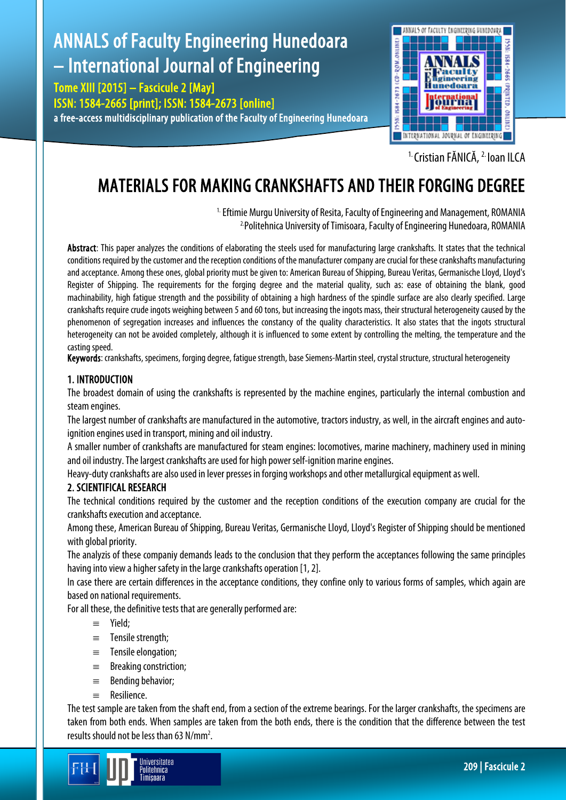# ANNALS of Faculty Engineering Hunedoara – International Journal of Engineering

Tome XIII [2015] – Fascicule 2 [May] ISSN: 1584-2665 [print]; ISSN: 1584-2673 [online] a free-access multidisciplinary publication of the Faculty of Engineering Hunedoara



<sup>1.</sup> Cristian FĂNICĂ, <sup>2.</sup> Ioan ILCA

## MATERIALS FOR MAKING CRANKSHAFTS AND THEIR FORGING DEGREE

<sup>1.</sup> Eftimie Murgu University of Resita, Faculty of Engineering and Management, ROMANIA<br><sup>2</sup> Politehnica University of Timisoara, Faculty of Engineering Hunedoara, ROMANIA

Abstract: This paper analyzes the conditions of elaborating the steels used for manufacturing large crankshafts. It states that the technical conditions required by the customer and the reception conditions of the manufacturer company are crucial for these crankshafts manufacturing and acceptance. Among these ones, global priority must be given to: American Bureau of Shipping, Bureau Veritas, Germanische Lloyd, Lloyd's Register of Shipping. The requirements for the forging degree and the material quality, such as: ease of obtaining the blank, good machinability, high fatigue strength and the possibility of obtaining a high hardness of the spindle surface are also clearly specified. Large crankshafts require crude ingots weighing between 5 and 60 tons, but increasing the ingots mass, their structural heterogeneity caused by the phenomenon of segregation increases and influences the constancy of the quality characteristics. It also states that the ingots structural heterogeneity can not be avoided completely, although it is influenced to some extent by controlling the melting, the temperature and the casting speed.

Keywords: crankshafts, specimens, forging degree, fatigue strength, base Siemens-Martin steel, crystal structure, structural heterogeneity

### 1. INTRODUCTION

The broadest domain of using the crankshafts is represented by the machine engines, particularly the internal combustion and steam engines.

The largest number of crankshafts are manufactured in the automotive, tractors industry, as well, in the aircraft engines and autoignition engines used in transport, mining and oil industry.

A smaller number of crankshafts are manufactured for steam engines: locomotives, marine machinery, machinery used in mining and oil industry. The largest crankshafts are used for high power self-ignition marine engines.

Heavy-duty crankshafts are also used in lever presses in forging workshops and other metallurgical equipment as well.

#### 2. SCIENTIFICAL RESEARCH

The technical conditions required by the customer and the reception conditions of the execution company are crucial for the crankshafts execution and acceptance.

Among these, American Bureau of Shipping, Bureau Veritas, Germanische Lloyd, Lloyd's Register of Shipping should be mentioned with global priority.

The analyzis of these companiy demands leads to the conclusion that they perform the acceptances following the same principles having into view a higher safety in the large crankshafts operation [1, 2].

In case there are certain differences in the acceptance conditions, they confine only to various forms of samples, which again are based on national requirements.

For all these, the definitive tests that are generally performed are:

- ≡ Yield;
- ≡ Tensile strength;
- ≡ Tensile elongation;
- ≡ Breaking constriction;
- ≡ Bending behavior;
- ≡ Resilience.

The test sample are taken from the shaft end, from a section of the extreme bearings. For the larger crankshafts, the specimens are taken from both ends. When samples are taken from the both ends, there is the condition that the difference between the test results should not be less than 63 N/mm2 .

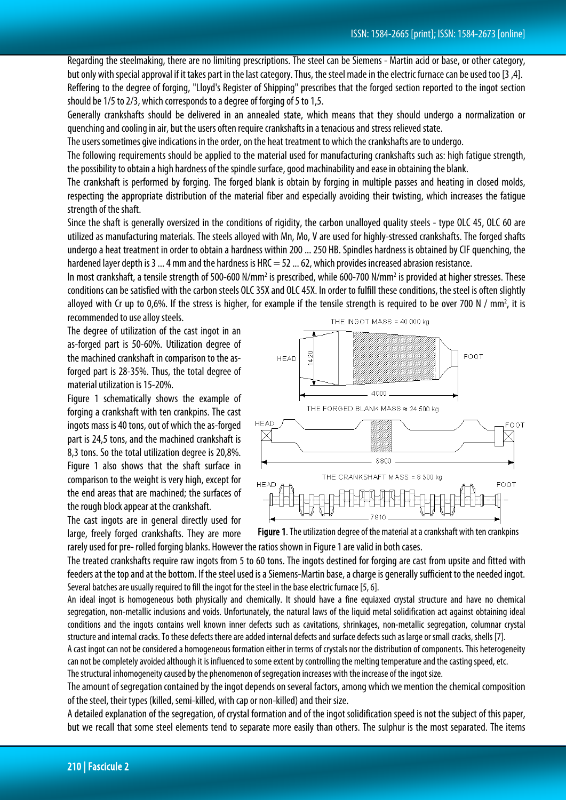Regarding the steelmaking, there are no limiting prescriptions. The steel can be Siemens - Martin acid or base, or other category, but only with special approval if it takes part in the last category. Thus, the steel made in the electric furnace can be used too [3 ,4]. Reffering to the degree of forging, "Lloyd's Register of Shipping" prescribes that the forged section reported to the ingot section should be 1/5 to 2/3, which corresponds to a degree of forging of 5 to 1,5.

Generally crankshafts should be delivered in an annealed state, which means that they should undergo a normalization or quenching and cooling in air, but the users often require crankshafts in a tenacious and stress relieved state.

The users sometimes give indications in the order, on the heat treatment to which the crankshafts are to undergo.

The following requirements should be applied to the material used for manufacturing crankshafts such as: high fatigue strength, the possibility to obtain a high hardness of the spindle surface, good machinability and ease in obtaining the blank.

The crankshaft is performed by forging. The forged blank is obtain by forging in multiple passes and heating in closed molds, respecting the appropriate distribution of the material fiber and especially avoiding their twisting, which increases the fatigue strength of the shaft.

Since the shaft is generally oversized in the conditions of rigidity, the carbon unalloyed quality steels - type OLC 45, OLC 60 are utilized as manufacturing materials. The steels alloyed with Mn, Mo, V are used for highly-stressed crankshafts. The forged shafts undergo a heat treatment in order to obtain a hardness within 200 ... 250 HB. Spindles hardness is obtained by CIF quenching, the hardened layer depth is 3  $\dots$  4 mm and the hardness is HRC = 52  $\dots$  62, which provides increased abrasion resistance.

In most crankshaft, a tensile strength of 500-600 N/mm<sup>2</sup> is prescribed, while 600-700 N/mm<sup>2</sup> is provided at higher stresses. These conditions can be satisfied with the carbon steels OLC 35X and OLC 45X. In order to fulfill these conditions, the steel is often slightly alloyed with Cr up to 0,6%. If the stress is higher, for example if the tensile strength is required to be over 700 N / mm<sup>2</sup>, it is recommended to use alloy steels.

The degree of utilization of the cast ingot in an as-forged part is 50-60%. Utilization degree of the machined crankshaft in comparison to the asforged part is 28-35%. Thus, the total degree of material utilization is 15-20%.

Figure 1 schematically shows the example of forging a crankshaft with ten crankpins. The cast ingots mass is 40 tons, out of which the as-forged part is 24,5 tons, and the machined crankshaft is 8,3 tons. So the total utilization degree is 20,8%. Figure 1 also shows that the shaft surface in comparison to the weight is very high, except for the end areas that are machined; the surfaces of the rough block appear at the crankshaft.

The cast ingots are in general directly used for large, freely forged crankshafts. They are more





rarely used for pre- rolled forging blanks. However the ratios shown in Figure 1 are valid in both cases.

The treated crankshafts require raw ingots from 5 to 60 tons. The ingots destined for forging are cast from upsite and fitted with feeders at the top and at the bottom. If the steel used is a Siemens-Martin base, a charge is generally sufficient to the needed ingot. Several batches are usually required to fill the ingot for the steel in the base electric furnace [5, 6].

An ideal ingot is homogeneous both physically and chemically. It should have a fine equiaxed crystal structure and have no chemical segregation, non-metallic inclusions and voids. Unfortunately, the natural laws of the liquid metal solidification act against obtaining ideal conditions and the ingots contains well known inner defects such as cavitations, shrinkages, non-metallic segregation, columnar crystal structure and internal cracks. To these defects there are added internal defects and surface defects such as large or small cracks, shells [7].

A cast ingot can not be considered a homogeneous formation either in terms of crystals nor the distribution of components. This heterogeneity can not be completely avoided although it is influenced to some extent by controlling the melting temperature and the casting speed, etc. The structural inhomogeneity caused by the phenomenon of segregation increases with the increase of the ingot size.

The amount of segregation contained by the ingot depends on several factors, among which we mention the chemical composition of the steel, their types (killed, semi-killed, with cap or non-killed) and their size.

A detailed explanation of the segregation, of crystal formation and of the ingot solidification speed is not the subject of this paper, but we recall that some steel elements tend to separate more easily than others. The sulphur is the most separated. The items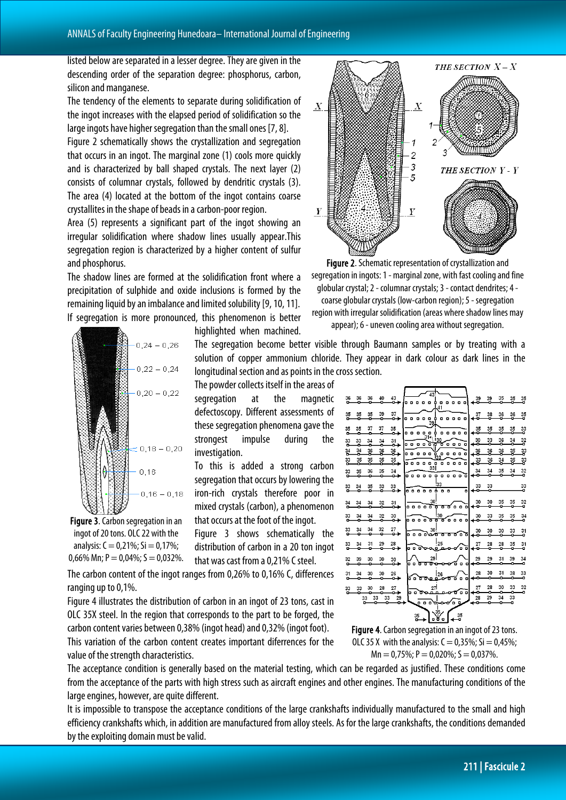listed below are separated in a lesser degree. They are given in the descending order of the separation degree: phosphorus, carbon, silicon and manganese.

The tendency of the elements to separate during solidification of the ingot increases with the elapsed period of solidification so the large ingots have higher segregation than the small ones [7, 8].

Figure 2 schematically shows the crystallization and segregation that occurs in an ingot. The marginal zone (1) cools more quickly and is characterized by ball shaped crystals. The next layer (2) consists of columnar crystals, followed by dendritic crystals (3). The area (4) located at the bottom of the ingot contains coarse crystallites in the shape of beads in a carbon-poor region.

Area (5) represents a significant part of the ingot showing an irregular solidification where shadow lines usually appear.This segregation region is characterized by a higher content of sulfur and phosphorus.

The shadow lines are formed at the solidification front where a precipitation of sulphide and oxide inclusions is formed by the remaining liquid by an imbalance and limited solubility [9, 10, 11]. If segregation is more pronounced, this phenomenon is better



Figure 3. Carbon segregation in an ingot of 20 tons. OLC 22 with the analysis:  $C = 0.21\%$ ; Si = 0,17%; 0,66% Mn;  $P = 0.04\%$ ;  $S = 0.032\%$ .

highlighted when machined.

The segregation become better visible through Baumann samples or by treating with a solution of copper ammonium chloride. They appear in dark colour as dark lines in the longitudinal section and as points in the cross section.

The powder collects itself in the areas of segregation at the magnetic defectoscopy. Different assessments of these segregation phenomena gave the strongest impulse during the investigation.

To this is added a strong carbon segregation that occurs by lowering the iron-rich crystals therefore poor in mixed crystals (carbon), a phenomenon that occurs at the foot of the ingot.

Figure 3 shows schematically the distribution of carbon in a 20 ton ingot that was cast from a 0,21% C steel.

The carbon content of the ingot ranges from 0,26% to 0,16% C, differences ranging up to 0,1%.

Figure 4 illustrates the distribution of carbon in an ingot of 23 tons, cast in OLC 35X steel. In the region that corresponds to the part to be forged, the carbon content varies between 0,38% (ingot head) and 0,32% (ingot foot).

This variation of the carbon content creates important diferrences for the value of the strength characteristics.

The acceptance condition is generally based on the material testing, which can be regarded as justified. These conditions come from the acceptance of the parts with high stress such as aircraft engines and other engines. The manufacturing conditions of the large engines, however, are quite different.

It is impossible to transpose the acceptance conditions of the large crankshafts individually manufactured to the small and high efficiency crankshafts which, in addition are manufactured from alloy steels. As for the large crankshafts, the conditions demanded by the exploiting domain must be valid.



Figure 2. Schematic representation of crystallization and segregation in ingots:1 - marginal zone, with fast cooling and fine globular crystal; 2 - columnar crystals; 3 - contact dendrites; 4 coarse globular crystals (low-carbon region); 5 - segregation region with irregular solidification (areas where shadow lines may appear); 6 - uneven cooling area without segregation.

| 36<br>۰  | 36      | 36                  | 40      | 43<br>⊶  | 'o o o   | $\blacksquare$ | $\overline{43}$<br>۰ | ۵o          |   |     | $\begin{array}{c} \circ \circ \circ \circ \end{array}$ | 39      | 39      | 35      | 35      | 35                   |
|----------|---------|---------------------|---------|----------|----------|----------------|----------------------|-------------|---|-----|--------------------------------------------------------|---------|---------|---------|---------|----------------------|
| 35<br>۰  | 35      | 35<br>۰             | 39<br>۰ | 37<br>⊶  |          | .              | $\bullet$            | 41<br>Ò.    |   |     | .                                                      | 37<br>ο | 38<br>ο | 36      | 36      | 35<br>٠              |
| 35<br>o- | 35<br>o | 37<br>o             | 37<br>۰ | 35<br>دہ |          |                | 39<br>31+            |             |   |     | .                                                      | 35<br>۰ | 35<br>o | 35<br>ο | 35<br>o | 33<br>ö              |
| 33<br>o  | 33<br>۰ | 34<br>۰             | 34<br>۰ | 31<br>⊶  |          | .              |                      | 130<br>西    |   |     | 3000 Q                                                 | 30<br>۰ | 33<br>۰ | 36<br>۰ | 34<br>o | 32                   |
| 월        | 34<br>۵ | 36<br>n             | 36      | 36<br>ö  |          |                |                      | .           |   |     |                                                        | 36<br>o | 36<br>n | 36<br>m | 35<br>n | 33                   |
| 33       | 35      | 35                  | 35      | 35<br>o  |          |                |                      | .           |   |     |                                                        | 33      | 36      | 34      | 35      | 33                   |
| 33<br>o  | 35<br>۰ | 36<br>ο             | 35<br>۰ | 34<br>⊶  |          |                | 33                   |             |   |     | . <del>.</del>                                         | 34<br>۰ | 34<br>۰ | 35<br>o | 34<br>o | 32<br>۰              |
| 33       | 34      | 35                  | 33      | 33       |          |                |                      | :33         |   |     |                                                        | 33      | 33      |         |         | 33                   |
| ۰        | ۰       | ۰                   | ۰       | ⊶        |          |                |                      | .           |   |     | o                                                      | o       | ۰       |         |         | ۰                    |
| 34<br>۰  | 34<br>۵ | 34<br>۰             | 32<br>۰ | 31<br>⊶  |          | . <del>.</del> | 30                   | ठ<br>σ      | σ |     | .                                                      | 30      | 30<br>ο | 35<br>n | 35      | 32<br>$\blacksquare$ |
| 33<br>۰  | 34<br>o | 34<br>o             | 32<br>۰ | 30<br>⊶  |          | .              | ਰ ਰ                  | 30          |   |     | 50000                                                  | 30<br>o | 33<br>۰ | 35<br>۰ | 35<br>ο | 34<br>۰              |
| 33<br>o. | 34<br>o | 34<br>o             | 32<br>۰ | 27<br>⊶  |          |                | 30                   |             |   |     | ៰៰៰៰\ჲ⁄ <del>៰៰៰</del> ៰៰                              | 30      | 30      | 30      | 33      | 31<br>۰              |
| 33<br>۰  | 34<br>۵ | 31<br>۰             | 29<br>۰ | 28<br>۵  | o o      | ø              |                      | 25<br>عرهمن | ۰ | σ   | o ō                                                    | 27<br>α | 28<br>۵ | 28<br>۰ | 35<br>ο | 31<br>۰              |
| 32<br>o. | 39<br>o | 30<br>o             | 30<br>o | 30<br>⊶  | o o      | τ              | 29<br>ਰ ਰ            | o           | o | ъ   | o<br>o                                                 | 29      | 29<br>o | 31<br>۰ | 39<br>o | 34<br>۰              |
| 31<br>۰  | 34<br>۰ | 30<br>۰             | 30<br>۰ | 26<br>⊶  | 60       |                | 60 Q Q               | 26<br>J.    | ō | ō   | ۰<br>۰                                                 | 28<br>۰ | 30<br>۰ | 31<br>۰ | 38<br>۰ | 33<br>۰              |
| 33<br>o- | 33<br>o | 30                  | 28<br>o | 27<br>⊶  |          |                | 27<br>مممره ه        | o.          | œ |     | ే ≏ం                                                   | 27<br>ە | 28<br>۰ | 30<br>۰ | 33<br>۰ | 32<br>o              |
|          |         | 33<br>33<br>n<br>о. | 33      | 29<br>۵  |          | $^{\circ}$     | ۰                    |             |   | o a |                                                        | 28<br>۰ | 29<br>۵ | 34<br>۰ | 33<br>۰ |                      |
|          |         |                     |         |          |          |                |                      | ъ.<br>35    |   |     |                                                        |         |         |         |         |                      |
|          |         |                     |         |          | 35<br>o. |                |                      | Y.          |   |     | 35                                                     |         |         |         |         |                      |

Figure 4. Carbon segregation in an ingot of 23 tons. OLC 35 X with the analysis:  $C = 0.35\%$ ; Si = 0.45%;  $Mn = 0.75\%$ ; P = 0.020%; S = 0.037%.